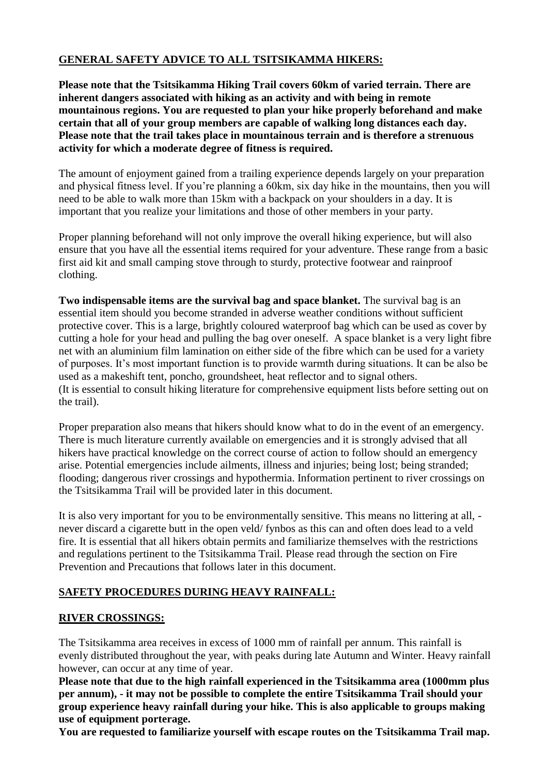# **GENERAL SAFETY ADVICE TO ALL TSITSIKAMMA HIKERS:**

**Please note that the Tsitsikamma Hiking Trail covers 60km of varied terrain. There are inherent dangers associated with hiking as an activity and with being in remote mountainous regions. You are requested to plan your hike properly beforehand and make certain that all of your group members are capable of walking long distances each day. Please note that the trail takes place in mountainous terrain and is therefore a strenuous activity for which a moderate degree of fitness is required.** 

The amount of enjoyment gained from a trailing experience depends largely on your preparation and physical fitness level. If you're planning a 60km, six day hike in the mountains, then you will need to be able to walk more than 15km with a backpack on your shoulders in a day. It is important that you realize your limitations and those of other members in your party.

Proper planning beforehand will not only improve the overall hiking experience, but will also ensure that you have all the essential items required for your adventure. These range from a basic first aid kit and small camping stove through to sturdy, protective footwear and rainproof clothing.

**Two indispensable items are the survival bag and space blanket.** The survival bag is an essential item should you become stranded in adverse weather conditions without sufficient protective cover. This is a large, brightly coloured waterproof bag which can be used as cover by cutting a hole for your head and pulling the bag over oneself. A space blanket is a very light fibre net with an aluminium film lamination on either side of the fibre which can be used for a variety of purposes. It's most important function is to provide warmth during situations. It can be also be used as a makeshift tent, poncho, groundsheet, heat reflector and to signal others. (It is essential to consult hiking literature for comprehensive equipment lists before setting out on the trail).

Proper preparation also means that hikers should know what to do in the event of an emergency. There is much literature currently available on emergencies and it is strongly advised that all hikers have practical knowledge on the correct course of action to follow should an emergency arise. Potential emergencies include ailments, illness and injuries; being lost; being stranded; flooding; dangerous river crossings and hypothermia. Information pertinent to river crossings on the Tsitsikamma Trail will be provided later in this document.

It is also very important for you to be environmentally sensitive. This means no littering at all, never discard a cigarette butt in the open veld/ fynbos as this can and often does lead to a veld fire. It is essential that all hikers obtain permits and familiarize themselves with the restrictions and regulations pertinent to the Tsitsikamma Trail. Please read through the section on Fire Prevention and Precautions that follows later in this document.

# **SAFETY PROCEDURES DURING HEAVY RAINFALL:**

## **RIVER CROSSINGS:**

The Tsitsikamma area receives in excess of 1000 mm of rainfall per annum. This rainfall is evenly distributed throughout the year, with peaks during late Autumn and Winter. Heavy rainfall however, can occur at any time of year.

**Please note that due to the high rainfall experienced in the Tsitsikamma area (1000mm plus per annum), - it may not be possible to complete the entire Tsitsikamma Trail should your group experience heavy rainfall during your hike. This is also applicable to groups making use of equipment porterage.**

**You are requested to familiarize yourself with escape routes on the Tsitsikamma Trail map.**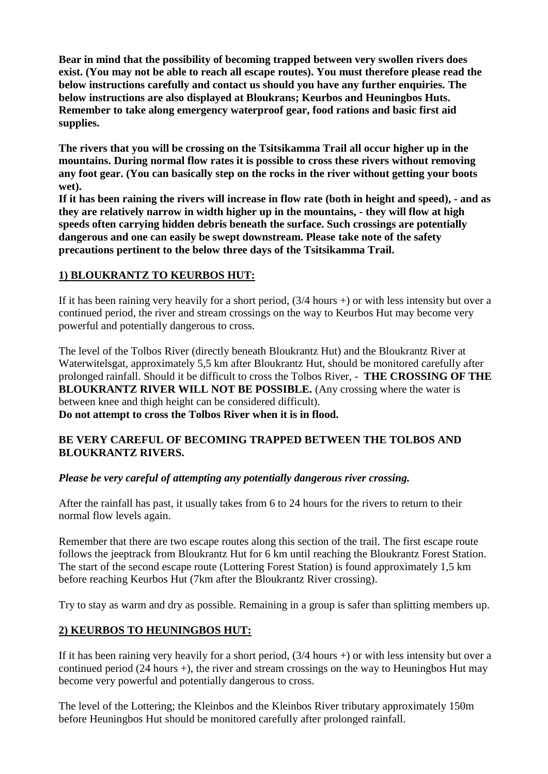**Bear in mind that the possibility of becoming trapped between very swollen rivers does exist. (You may not be able to reach all escape routes). You must therefore please read the below instructions carefully and contact us should you have any further enquiries. The below instructions are also displayed at Bloukrans; Keurbos and Heuningbos Huts. Remember to take along emergency waterproof gear, food rations and basic first aid supplies.**

**The rivers that you will be crossing on the Tsitsikamma Trail all occur higher up in the mountains. During normal flow rates it is possible to cross these rivers without removing any foot gear. (You can basically step on the rocks in the river without getting your boots wet).**

**If it has been raining the rivers will increase in flow rate (both in height and speed), - and as they are relatively narrow in width higher up in the mountains, - they will flow at high speeds often carrying hidden debris beneath the surface. Such crossings are potentially dangerous and one can easily be swept downstream. Please take note of the safety precautions pertinent to the below three days of the Tsitsikamma Trail.**

#### **1) BLOUKRANTZ TO KEURBOS HUT:**

If it has been raining very heavily for a short period, (3/4 hours +) or with less intensity but over a continued period, the river and stream crossings on the way to Keurbos Hut may become very powerful and potentially dangerous to cross.

The level of the Tolbos River (directly beneath Bloukrantz Hut) and the Bloukrantz River at Waterwitelsgat, approximately 5,5 km after Bloukrantz Hut, should be monitored carefully after prolonged rainfall. Should it be difficult to cross the Tolbos River, - **THE CROSSING OF THE BLOUKRANTZ RIVER WILL NOT BE POSSIBLE.** (Any crossing where the water is between knee and thigh height can be considered difficult). **Do not attempt to cross the Tolbos River when it is in flood.** 

#### **BE VERY CAREFUL OF BECOMING TRAPPED BETWEEN THE TOLBOS AND BLOUKRANTZ RIVERS.**

## *Please be very careful of attempting any potentially dangerous river crossing.*

After the rainfall has past, it usually takes from 6 to 24 hours for the rivers to return to their normal flow levels again.

Remember that there are two escape routes along this section of the trail. The first escape route follows the jeeptrack from Bloukrantz Hut for 6 km until reaching the Bloukrantz Forest Station. The start of the second escape route (Lottering Forest Station) is found approximately 1,5 km before reaching Keurbos Hut (7km after the Bloukrantz River crossing).

Try to stay as warm and dry as possible. Remaining in a group is safer than splitting members up.

## **2) KEURBOS TO HEUNINGBOS HUT:**

If it has been raining very heavily for a short period, (3/4 hours +) or with less intensity but over a continued period (24 hours +), the river and stream crossings on the way to Heuningbos Hut may become very powerful and potentially dangerous to cross.

The level of the Lottering; the Kleinbos and the Kleinbos River tributary approximately 150m before Heuningbos Hut should be monitored carefully after prolonged rainfall.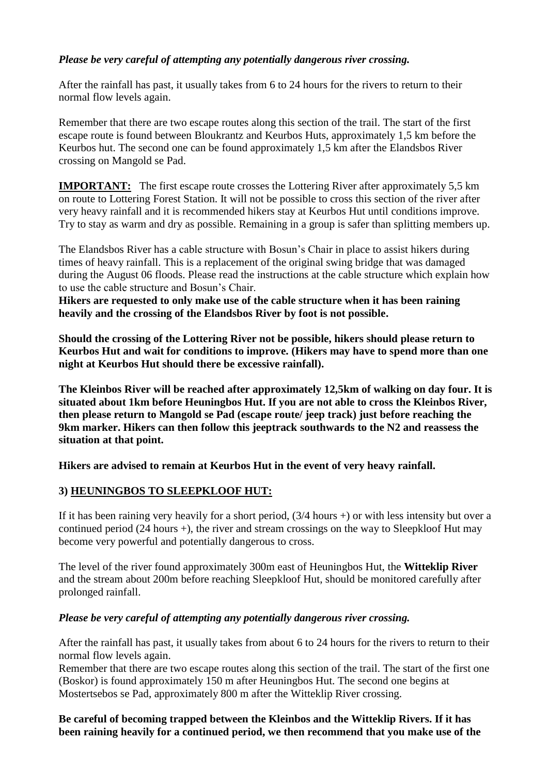#### *Please be very careful of attempting any potentially dangerous river crossing.*

After the rainfall has past, it usually takes from 6 to 24 hours for the rivers to return to their normal flow levels again.

Remember that there are two escape routes along this section of the trail. The start of the first escape route is found between Bloukrantz and Keurbos Huts, approximately 1,5 km before the Keurbos hut. The second one can be found approximately 1,5 km after the Elandsbos River crossing on Mangold se Pad.

**IMPORTANT:** The first escape route crosses the Lottering River after approximately 5,5 km on route to Lottering Forest Station. It will not be possible to cross this section of the river after very heavy rainfall and it is recommended hikers stay at Keurbos Hut until conditions improve. Try to stay as warm and dry as possible. Remaining in a group is safer than splitting members up.

The Elandsbos River has a cable structure with Bosun's Chair in place to assist hikers during times of heavy rainfall. This is a replacement of the original swing bridge that was damaged during the August 06 floods. Please read the instructions at the cable structure which explain how to use the cable structure and Bosun's Chair.

**Hikers are requested to only make use of the cable structure when it has been raining heavily and the crossing of the Elandsbos River by foot is not possible.** 

**Should the crossing of the Lottering River not be possible, hikers should please return to Keurbos Hut and wait for conditions to improve. (Hikers may have to spend more than one night at Keurbos Hut should there be excessive rainfall).** 

**The Kleinbos River will be reached after approximately 12,5km of walking on day four. It is situated about 1km before Heuningbos Hut. If you are not able to cross the Kleinbos River, then please return to Mangold se Pad (escape route/ jeep track) just before reaching the 9km marker. Hikers can then follow this jeeptrack southwards to the N2 and reassess the situation at that point.** 

**Hikers are advised to remain at Keurbos Hut in the event of very heavy rainfall.**

#### **3) HEUNINGBOS TO SLEEPKLOOF HUT:**

If it has been raining very heavily for a short period, (3/4 hours +) or with less intensity but over a continued period (24 hours +), the river and stream crossings on the way to Sleepkloof Hut may become very powerful and potentially dangerous to cross.

The level of the river found approximately 300m east of Heuningbos Hut, the **Witteklip River** and the stream about 200m before reaching Sleepkloof Hut, should be monitored carefully after prolonged rainfall.

#### *Please be very careful of attempting any potentially dangerous river crossing.*

After the rainfall has past, it usually takes from about 6 to 24 hours for the rivers to return to their normal flow levels again.

Remember that there are two escape routes along this section of the trail. The start of the first one (Boskor) is found approximately 150 m after Heuningbos Hut. The second one begins at Mostertsebos se Pad, approximately 800 m after the Witteklip River crossing.

**Be careful of becoming trapped between the Kleinbos and the Witteklip Rivers. If it has been raining heavily for a continued period, we then recommend that you make use of the**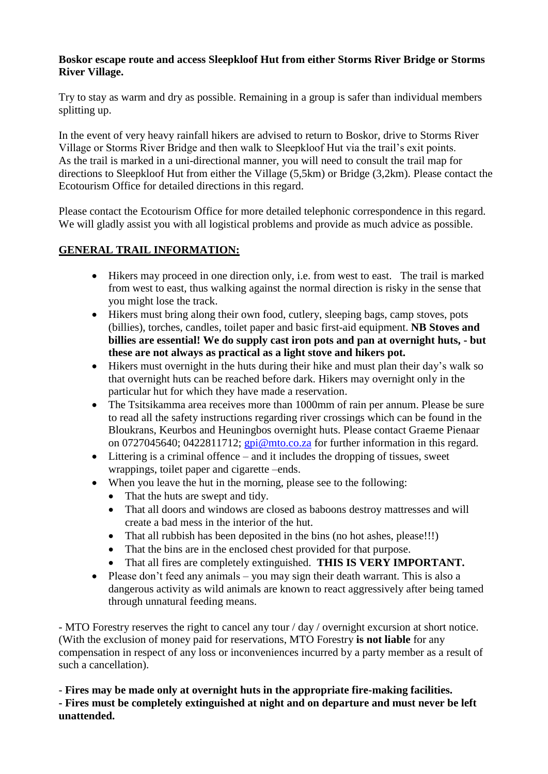#### **Boskor escape route and access Sleepkloof Hut from either Storms River Bridge or Storms River Village.**

Try to stay as warm and dry as possible. Remaining in a group is safer than individual members splitting up.

In the event of very heavy rainfall hikers are advised to return to Boskor, drive to Storms River Village or Storms River Bridge and then walk to Sleepkloof Hut via the trail's exit points. As the trail is marked in a uni-directional manner, you will need to consult the trail map for directions to Sleepkloof Hut from either the Village (5,5km) or Bridge (3,2km). Please contact the Ecotourism Office for detailed directions in this regard.

Please contact the Ecotourism Office for more detailed telephonic correspondence in this regard. We will gladly assist you with all logistical problems and provide as much advice as possible.

# **GENERAL TRAIL INFORMATION:**

- Hikers may proceed in one direction only, i.e. from west to east. The trail is marked from west to east, thus walking against the normal direction is risky in the sense that you might lose the track.
- Hikers must bring along their own food, cutlery, sleeping bags, camp stoves, pots (billies), torches, candles, toilet paper and basic first-aid equipment. **NB Stoves and billies are essential! We do supply cast iron pots and pan at overnight huts, - but these are not always as practical as a light stove and hikers pot.**
- Hikers must overnight in the huts during their hike and must plan their day's walk so that overnight huts can be reached before dark. Hikers may overnight only in the particular hut for which they have made a reservation.
- The Tsitsikamma area receives more than 1000mm of rain per annum. Please be sure to read all the safety instructions regarding river crossings which can be found in the Bloukrans, Keurbos and Heuningbos overnight huts. Please contact Graeme Pienaar on 0727045640; 0422811712; [gpi@mto.co.za](mailto:gpi@mto.co.za) for further information in this regard.
- Littering is a criminal offence and it includes the dropping of tissues, sweet wrappings, toilet paper and cigarette –ends.
- When you leave the hut in the morning, please see to the following:
	- That the huts are swept and tidy.
	- That all doors and windows are closed as baboons destroy mattresses and will create a bad mess in the interior of the hut.
	- That all rubbish has been deposited in the bins (no hot ashes, please!!!)
	- That the bins are in the enclosed chest provided for that purpose.
	- That all fires are completely extinguished. **THIS IS VERY IMPORTANT.**
- Please don't feed any animals you may sign their death warrant. This is also a dangerous activity as wild animals are known to react aggressively after being tamed through unnatural feeding means.

- MTO Forestry reserves the right to cancel any tour / day / overnight excursion at short notice. (With the exclusion of money paid for reservations, MTO Forestry **is not liable** for any compensation in respect of any loss or inconveniences incurred by a party member as a result of such a cancellation).

- **Fires may be made only at overnight huts in the appropriate fire-making facilities.**

**- Fires must be completely extinguished at night and on departure and must never be left unattended.**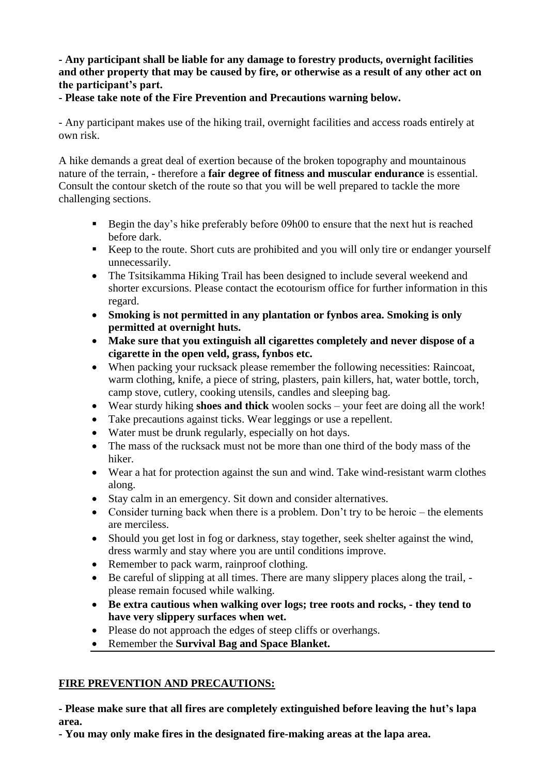#### **- Any participant shall be liable for any damage to forestry products, overnight facilities and other property that may be caused by fire, or otherwise as a result of any other act on the participant's part.**

**- Please take note of the Fire Prevention and Precautions warning below.** 

- Any participant makes use of the hiking trail, overnight facilities and access roads entirely at own risk.

A hike demands a great deal of exertion because of the broken topography and mountainous nature of the terrain, - therefore a **fair degree of fitness and muscular endurance** is essential. Consult the contour sketch of the route so that you will be well prepared to tackle the more challenging sections.

- Begin the day's hike preferably before 09h00 to ensure that the next hut is reached before dark.
- Keep to the route. Short cuts are prohibited and you will only tire or endanger yourself unnecessarily.
- The Tsitsikamma Hiking Trail has been designed to include several weekend and shorter excursions. Please contact the ecotourism office for further information in this regard.
- **Smoking is not permitted in any plantation or fynbos area. Smoking is only permitted at overnight huts.**
- **Make sure that you extinguish all cigarettes completely and never dispose of a cigarette in the open veld, grass, fynbos etc.**
- When packing your rucksack please remember the following necessities: Raincoat, warm clothing, knife, a piece of string, plasters, pain killers, hat, water bottle, torch, camp stove, cutlery, cooking utensils, candles and sleeping bag.
- Wear sturdy hiking **shoes and thick** woolen socks your feet are doing all the work!
- Take precautions against ticks. Wear leggings or use a repellent.
- Water must be drunk regularly, especially on hot days.
- The mass of the rucksack must not be more than one third of the body mass of the hiker.
- Wear a hat for protection against the sun and wind. Take wind-resistant warm clothes along.
- Stay calm in an emergency. Sit down and consider alternatives.
- Consider turning back when there is a problem. Don't try to be heroic the elements are merciless.
- Should you get lost in fog or darkness, stay together, seek shelter against the wind, dress warmly and stay where you are until conditions improve.
- Remember to pack warm, rainproof clothing.
- Be careful of slipping at all times. There are many slippery places along the trail, please remain focused while walking.
- **Be extra cautious when walking over logs; tree roots and rocks, - they tend to have very slippery surfaces when wet.**
- Please do not approach the edges of steep cliffs or overhangs.
- Remember the **Survival Bag and Space Blanket.**

## **FIRE PREVENTION AND PRECAUTIONS:**

**- Please make sure that all fires are completely extinguished before leaving the hut's lapa area.**

**- You may only make fires in the designated fire-making areas at the lapa area.**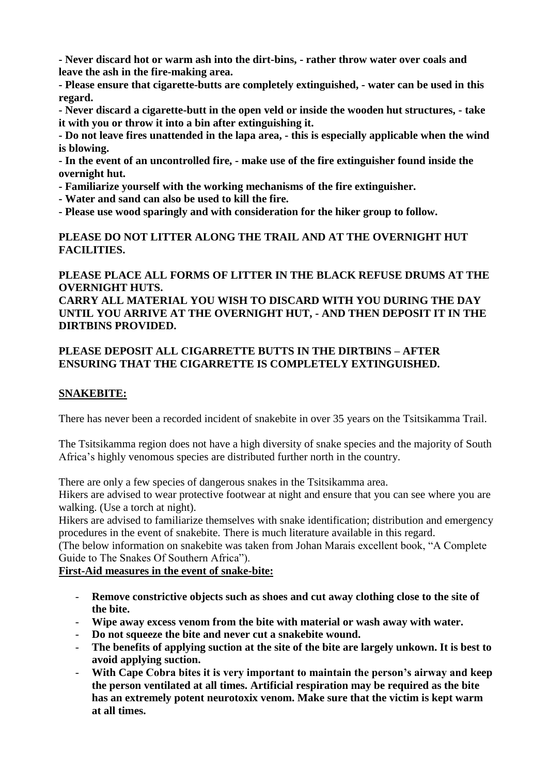**- Never discard hot or warm ash into the dirt-bins, - rather throw water over coals and leave the ash in the fire-making area.**

**- Please ensure that cigarette-butts are completely extinguished, - water can be used in this regard.** 

**- Never discard a cigarette-butt in the open veld or inside the wooden hut structures, - take it with you or throw it into a bin after extinguishing it.**

**- Do not leave fires unattended in the lapa area, - this is especially applicable when the wind is blowing.**

**- In the event of an uncontrolled fire, - make use of the fire extinguisher found inside the overnight hut.**

**- Familiarize yourself with the working mechanisms of the fire extinguisher.**

**- Water and sand can also be used to kill the fire.**

**- Please use wood sparingly and with consideration for the hiker group to follow.**

#### **PLEASE DO NOT LITTER ALONG THE TRAIL AND AT THE OVERNIGHT HUT FACILITIES.**

#### **PLEASE PLACE ALL FORMS OF LITTER IN THE BLACK REFUSE DRUMS AT THE OVERNIGHT HUTS.**

**CARRY ALL MATERIAL YOU WISH TO DISCARD WITH YOU DURING THE DAY UNTIL YOU ARRIVE AT THE OVERNIGHT HUT, - AND THEN DEPOSIT IT IN THE DIRTBINS PROVIDED.**

#### **PLEASE DEPOSIT ALL CIGARRETTE BUTTS IN THE DIRTBINS – AFTER ENSURING THAT THE CIGARRETTE IS COMPLETELY EXTINGUISHED.**

## **SNAKEBITE:**

There has never been a recorded incident of snakebite in over 35 years on the Tsitsikamma Trail.

The Tsitsikamma region does not have a high diversity of snake species and the majority of South Africa's highly venomous species are distributed further north in the country.

There are only a few species of dangerous snakes in the Tsitsikamma area.

Hikers are advised to wear protective footwear at night and ensure that you can see where you are walking. (Use a torch at night).

Hikers are advised to familiarize themselves with snake identification; distribution and emergency procedures in the event of snakebite. There is much literature available in this regard.

(The below information on snakebite was taken from Johan Marais excellent book, "A Complete Guide to The Snakes Of Southern Africa").

**First-Aid measures in the event of snake-bite:**

- **Remove constrictive objects such as shoes and cut away clothing close to the site of the bite.**
- **Wipe away excess venom from the bite with material or wash away with water.**
- **Do not squeeze the bite and never cut a snakebite wound.**
- The benefits of applying suction at the site of the bite are largely unkown. It is best to **avoid applying suction.**
- With Cape Cobra bites it is very important to maintain the person's airway and keep **the person ventilated at all times. Artificial respiration may be required as the bite has an extremely potent neurotoxix venom. Make sure that the victim is kept warm at all times.**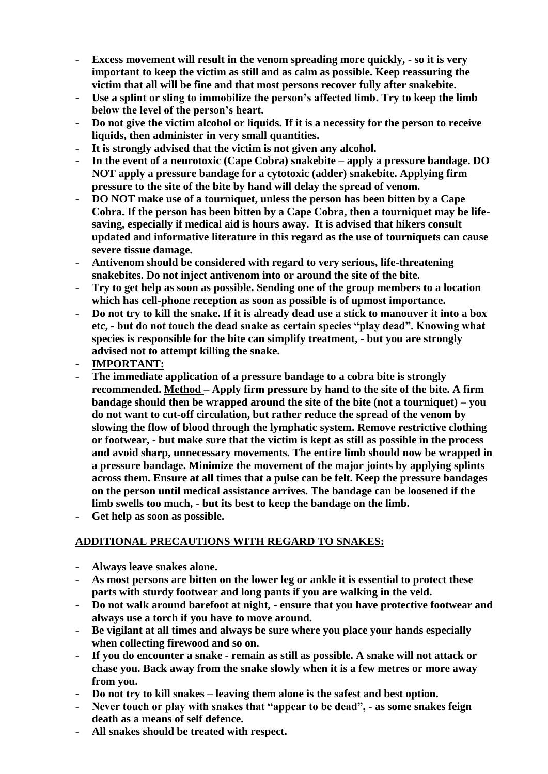- **Excess movement will result in the venom spreading more quickly, - so it is very important to keep the victim as still and as calm as possible. Keep reassuring the victim that all will be fine and that most persons recover fully after snakebite.**
- **Use a splint or sling to immobilize the person's affected limb. Try to keep the limb below the level of the person's heart.**
- **Do not give the victim alcohol or liquids. If it is a necessity for the person to receive liquids, then administer in very small quantities.**
- It is strongly advised that the victim is not given any alcohol.
- **In the event of a neurotoxic (Cape Cobra) snakebite – apply a pressure bandage. DO NOT apply a pressure bandage for a cytotoxic (adder) snakebite. Applying firm pressure to the site of the bite by hand will delay the spread of venom.**
- **DO NOT make use of a tourniquet, unless the person has been bitten by a Cape Cobra. If the person has been bitten by a Cape Cobra, then a tourniquet may be lifesaving, especially if medical aid is hours away. It is advised that hikers consult updated and informative literature in this regard as the use of tourniquets can cause severe tissue damage.**
- **Antivenom should be considered with regard to very serious, life-threatening snakebites. Do not inject antivenom into or around the site of the bite.**
- **Try to get help as soon as possible. Sending one of the group members to a location which has cell-phone reception as soon as possible is of upmost importance.**
- **Do not try to kill the snake. If it is already dead use a stick to manouver it into a box etc, - but do not touch the dead snake as certain species "play dead". Knowing what species is responsible for the bite can simplify treatment, - but you are strongly advised not to attempt killing the snake.**
- **IMPORTANT:**
- The immediate application of a pressure bandage to a cobra bite is strongly **recommended. Method – Apply firm pressure by hand to the site of the bite. A firm bandage should then be wrapped around the site of the bite (not a tourniquet) – you do not want to cut-off circulation, but rather reduce the spread of the venom by slowing the flow of blood through the lymphatic system. Remove restrictive clothing or footwear, - but make sure that the victim is kept as still as possible in the process and avoid sharp, unnecessary movements. The entire limb should now be wrapped in a pressure bandage. Minimize the movement of the major joints by applying splints across them. Ensure at all times that a pulse can be felt. Keep the pressure bandages on the person until medical assistance arrives. The bandage can be loosened if the limb swells too much, - but its best to keep the bandage on the limb.**
- **Get help as soon as possible.**

## **ADDITIONAL PRECAUTIONS WITH REGARD TO SNAKES:**

- **Always leave snakes alone.**
- **As most persons are bitten on the lower leg or ankle it is essential to protect these parts with sturdy footwear and long pants if you are walking in the veld.**
- **Do not walk around barefoot at night, - ensure that you have protective footwear and always use a torch if you have to move around.**
- **Be vigilant at all times and always be sure where you place your hands especially when collecting firewood and so on.**
- **If you do encounter a snake - remain as still as possible. A snake will not attack or chase you. Back away from the snake slowly when it is a few metres or more away from you.**
- **Do not try to kill snakes – leaving them alone is the safest and best option.**
- Never touch or play with snakes that "appear to be dead", as some snakes feign **death as a means of self defence.**
- **All snakes should be treated with respect.**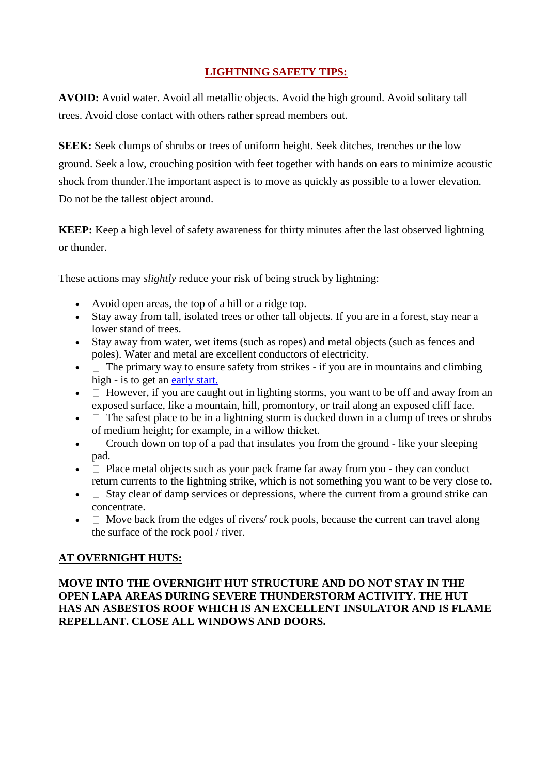# **LIGHTNING SAFETY TIPS:**

**AVOID:** Avoid water. Avoid all metallic objects. Avoid the high ground. Avoid solitary tall trees. Avoid close contact with others rather spread members out.

**SEEK:** Seek clumps of shrubs or trees of uniform height. Seek ditches, trenches or the low ground. Seek a low, crouching position with feet together with hands on ears to minimize acoustic shock from thunder.The important aspect is to move as quickly as possible to a lower elevation. Do not be the tallest object around.

**KEEP:** Keep a high level of safety awareness for thirty minutes after the last observed lightning or thunder.

These actions may *slightly* reduce your risk of being struck by lightning:

- Avoid open areas, the top of a hill or a ridge top.
- Stay away from tall, isolated trees or other tall objects. If you are in a forest, stay near a lower stand of trees.
- Stay away from water, wet items (such as ropes) and metal objects (such as fences and poles). Water and metal are excellent conductors of electricity.
- $\bullet$   $\Box$  The primary way to ensure safety from strikes if you are in mountains and climbing high - is to get an [early start.](http://suite101.com/article/GettinganEarlyStart-a856)
- $\bullet$   $\Box$  However, if you are caught out in lighting storms, you want to be off and away from an exposed surface, like a mountain, hill, promontory, or trail along an exposed cliff face.
- $\bullet$   $\Box$  The safest place to be in a lightning storm is ducked down in a clump of trees or shrubs of medium height; for example, in a willow thicket.
- $\Box$  Crouch down on top of a pad that insulates you from the ground like your sleeping pad.
- $\Box$  Place metal objects such as your pack frame far away from you they can conduct return currents to the lightning strike, which is not something you want to be very close to.
- $\bullet$   $\Box$  Stay clear of damp services or depressions, where the current from a ground strike can concentrate.
- $\bullet$   $\Box$  Move back from the edges of rivers/ rock pools, because the current can travel along the surface of the rock pool / river.

## **AT OVERNIGHT HUTS:**

#### **MOVE INTO THE OVERNIGHT HUT STRUCTURE AND DO NOT STAY IN THE OPEN LAPA AREAS DURING SEVERE THUNDERSTORM ACTIVITY. THE HUT HAS AN ASBESTOS ROOF WHICH IS AN EXCELLENT INSULATOR AND IS FLAME REPELLANT. CLOSE ALL WINDOWS AND DOORS.**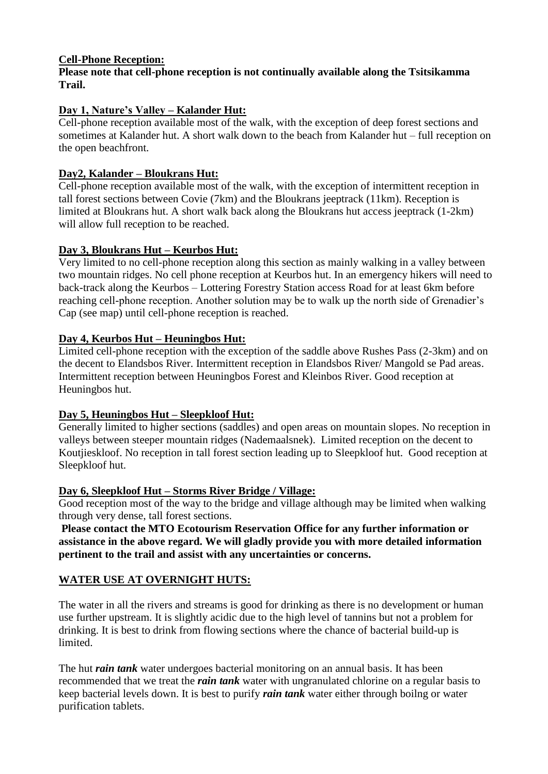#### **Cell-Phone Reception:**

#### **Please note that cell-phone reception is not continually available along the Tsitsikamma Trail.**

# **Day 1, Nature's Valley – Kalander Hut:**

Cell-phone reception available most of the walk, with the exception of deep forest sections and sometimes at Kalander hut. A short walk down to the beach from Kalander hut – full reception on the open beachfront.

# **Day2, Kalander – Bloukrans Hut:**

Cell-phone reception available most of the walk, with the exception of intermittent reception in tall forest sections between Covie (7km) and the Bloukrans jeeptrack (11km). Reception is limited at Bloukrans hut. A short walk back along the Bloukrans hut access jeeptrack (1-2km) will allow full reception to be reached.

## **Day 3, Bloukrans Hut – Keurbos Hut:**

Very limited to no cell-phone reception along this section as mainly walking in a valley between two mountain ridges. No cell phone reception at Keurbos hut. In an emergency hikers will need to back-track along the Keurbos – Lottering Forestry Station access Road for at least 6km before reaching cell-phone reception. Another solution may be to walk up the north side of Grenadier's Cap (see map) until cell-phone reception is reached.

# **Day 4, Keurbos Hut – Heuningbos Hut:**

Limited cell-phone reception with the exception of the saddle above Rushes Pass (2-3km) and on the decent to Elandsbos River. Intermittent reception in Elandsbos River/ Mangold se Pad areas. Intermittent reception between Heuningbos Forest and Kleinbos River. Good reception at Heuningbos hut.

## **Day 5, Heuningbos Hut – Sleepkloof Hut:**

Generally limited to higher sections (saddles) and open areas on mountain slopes. No reception in valleys between steeper mountain ridges (Nademaalsnek). Limited reception on the decent to Koutjieskloof. No reception in tall forest section leading up to Sleepkloof hut. Good reception at Sleepkloof hut.

## **Day 6, Sleepkloof Hut – Storms River Bridge / Village:**

Good reception most of the way to the bridge and village although may be limited when walking through very dense, tall forest sections.

**Please contact the MTO Ecotourism Reservation Office for any further information or assistance in the above regard. We will gladly provide you with more detailed information pertinent to the trail and assist with any uncertainties or concerns.**

# **WATER USE AT OVERNIGHT HUTS:**

The water in all the rivers and streams is good for drinking as there is no development or human use further upstream. It is slightly acidic due to the high level of tannins but not a problem for drinking. It is best to drink from flowing sections where the chance of bacterial build-up is limited.

The hut *rain tank* water undergoes bacterial monitoring on an annual basis. It has been recommended that we treat the *rain tank* water with ungranulated chlorine on a regular basis to keep bacterial levels down. It is best to purify *rain tank* water either through boilng or water purification tablets.